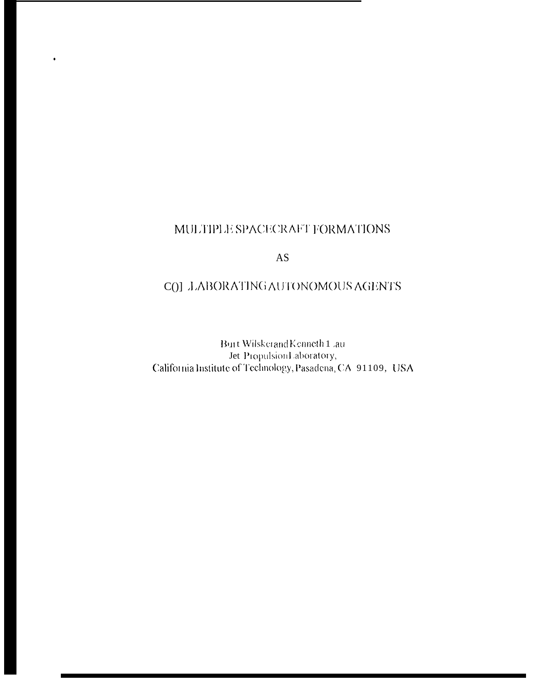## MULTIPLE SPACECRAFT FORMATIONS

 $\bullet$ 

## $AS$

## COJ JABORATING AUTONOMOUS AGENTS

Burt Wilskerand<br>Kenneth<br/>  $1$  ,<br/>au  $\;$ Jer Propulsion Laboratory,<br>
California Institute of Technology, Pasadena, CA 91109, USA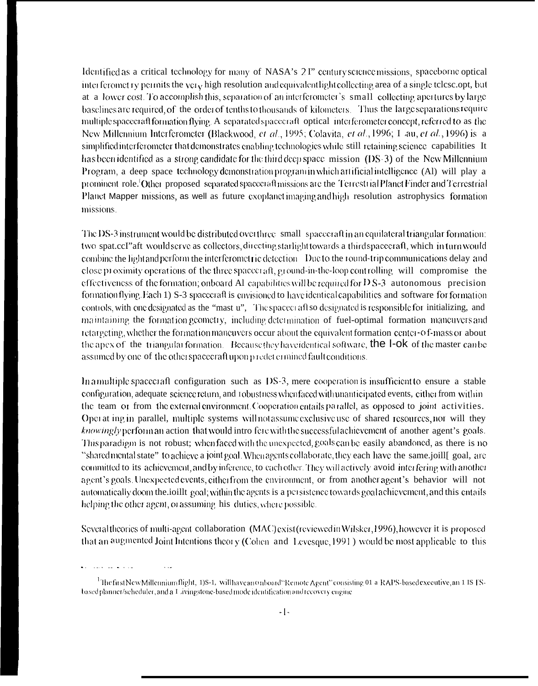Identified as a critical technology for many of NASA's 2 I" century science missions, spaceborne optical interferomet ry permits the yer<sub>y</sub> high resolution and equivalent light collecting area of a single telesc.opt, but at a lower cost. To accomplish this, separation of an interferometer's small collecting apertures by large baselines are required, of the order of tenths to thousands of kilometers. Thus the large separations require multiple spacecraft formation flying. A separated spacecraft optical interferometer concept, referred to as the New Millennium Interferometer (Blackwood, et al., 1995; Colavita, et al., 1996; I au, et al., 1996) is a simplified interferometer that demonstrates enabling technologies while still retaining science capabilities It has been identified as a strong candidate for the third deep space mission (DS-3) of the New Millennium Program, a deep space technology demonstration program in which artificial intelligence (AI) will play a prominent role.<sup>1</sup>Other proposed separated spacecraft missions are the Terrestrial Planet Finder and Terrestrial Planet Mapper missions, as well as future exoplanet imaging and high resolution astrophysics formation missions.

The DS-3 instrument would be distributed over three small spacecraft in an equilateral triangular formation: two spat.ccI" aft would serve as collectors, directing starlight towards a third spacecraft, which in turn would combine the light and perform the interferometric detection. Due to the round-trip communications delay and close proximity operations of the three spacecraft, ground-in-the-loop controlling will compromise the effectiveness of the formation; onboard Al capabilities will be required for  $DS-3$  autonomous precision formation flying. Each 1) S-3 spacecraft is envisioned to have identical capabilities and software for formation controls, with one designated as the "mast u". The spacecraft so designated is responsible for initializing, and maintaining the formation geometry, including determination of fuel-optimal formation maneuvers and retargeting, whether the formation maneuvers occur about the equivalent formation center-of-mass or about the apex of the triangular formation. Because they have identical software, the  $l$ -ok of the master can be assumed by one of the other spacecraft upon p redet ermined fault conditions.

In a multiple spacecraft configuration such as DS-3, mere cooperation is insufficient to ensure a stable configuration, adequate science return, and robustness when faced with unanticipated events, either from within the team or from the external environment. Cooperation entails parallel, as opposed to joint activities. Oper at ing in parallel, multiple systems will not assume exclusive use of shared resources, nor will they knowingly perform an action that would intro fere with the successful achievement of another agent's goals. This paradigm is not robust; when faced with the unexpected, goals can be easily abandoned, as there is no "shared mental state" to achieve a joint goal. When agents collaborate, they each have the same joill goal, are committed to its achievement, and by inference, to each other. They will actively avoid interfering with another agent's goals. Unexpected events, either from the environment, or from another agent's behavior will not automatically doom the ioillt goal; within the agents is a persistence towards goal achievement, and this entails helping the other agent, or assuming his duties, where possible.

Several theories of multi-agent collaboration (MAC) exist (reviewed in Wilsker, 1996), however it is proposed that an augmented Joint Intentions theory (Cohen and Levesque, 1991) would be most applicable to this

<sup>&</sup>lt;sup>1</sup>The first New Millennium flight, 1)S-1, will have an onboard "Remote Agent" consisting 01 a RAPS-based executive, an 1 IS [Sbased planner/scheduler, and a I avingstone-based mode identification and recovery engine